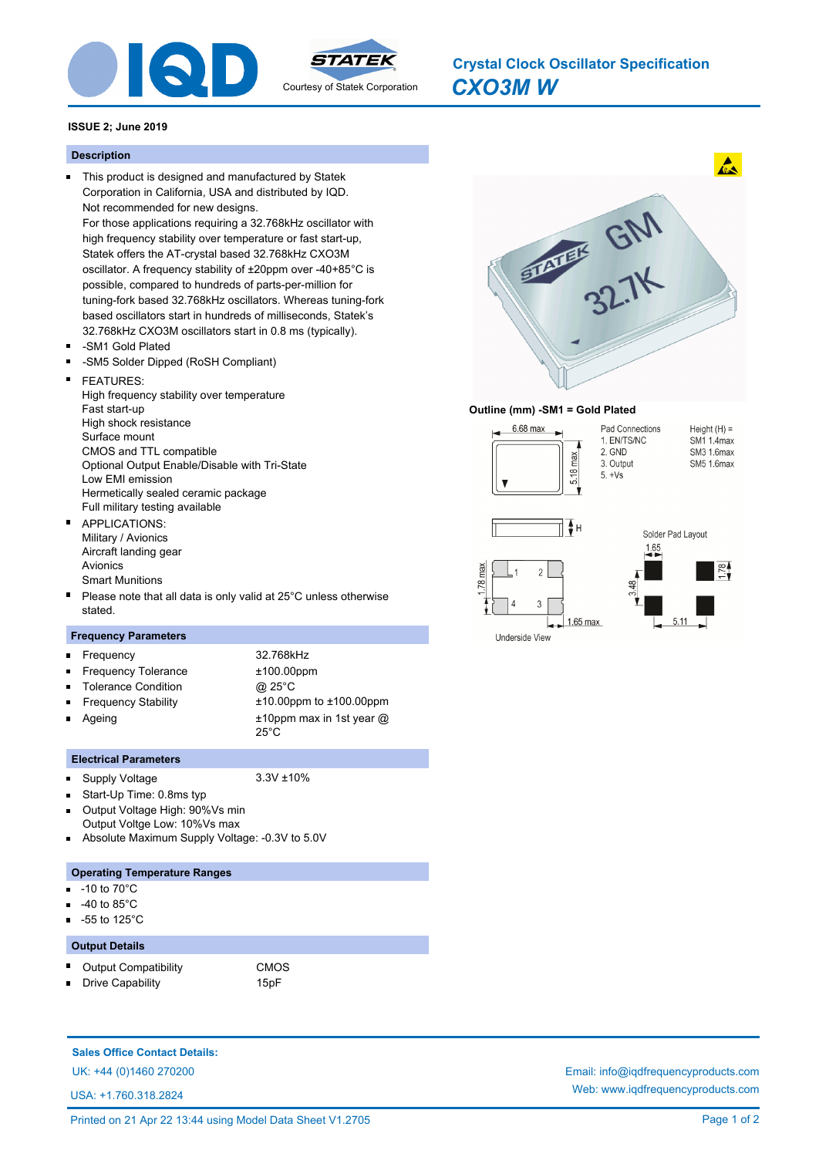

# *CXO3M W* **Crystal Clock Oscillator Specification**

## **ISSUE 2; June 2019**

#### **Description**

This product is designed and manufactured by Statek Corporation in California, USA and distributed by IQD. Not recommended for new designs.

For those applications requiring a 32.768kHz oscillator with high frequency stability over temperature or fast start-up, Statek offers the AT-crystal based 32.768kHz CXO3M oscillator. A frequency stability of ±20ppm over -40+85°C is possible, compared to hundreds of parts-per-million for tuning-fork based 32.768kHz oscillators. Whereas tuning-fork based oscillators start in hundreds of milliseconds, Statek's 32.768kHz CXO3M oscillators start in 0.8 ms (typically).

- -SM1 Gold Plated  $\blacksquare$
- -SM5 Solder Dipped (RoSH Compliant)
- Ė FEATURES: High frequency stability over temperature Fast start-up High shock resistance Surface mount CMOS and TTL compatible Optional Output Enable/Disable with Tri-State

Low EMI emission Hermetically sealed ceramic package Full military testing available

APPLICATIONS:  $\blacksquare$ Military / Avionics Aircraft landing gear Avionics Smart Munitions

Please note that all data is only valid at 25°C unless otherwise stated.

#### **Frequency Parameters**

n. Frequency 32.768kHz Frequency Tolerance  $±100.00$ ppm Tolerance Condition **@** 25°C Frequency Stability ±10.00ppm to ±100.00ppm  $\blacksquare$ Ageing ±10ppm max in 1st year @ 25°C

#### **Electrical Parameters**

Supply Voltage 3.3V ±10%  $\blacksquare$ 

- Start-Up Time: 0.8ms typ  $\blacksquare$
- Output Voltage High: 90%Vs min  $\blacksquare$ Output Voltge Low: 10%Vs max
- Absolute Maximum Supply Voltage: -0.3V to 5.0V

#### **Operating Temperature Ranges**

- -10 to 70°C n.
- -40 to 85°C
- -55 to 125°C

### **Output Details**

Output Compatibility **CMOS** 

Drive Capability **15pF** 

**Sales Office Contact Details:**

USA: +1.760.318.2824



#### **Outline (mm) -SM1 = Gold Plated**







UK: +44 (0)1460 270200 Email: info@iqdfrequencyproducts.com Web: www.iqdfrequencyproducts.com